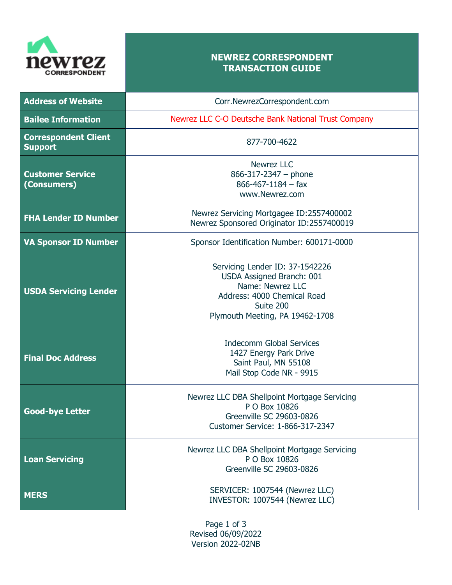

## **NEWREZ CORRESPONDENT TRANSACTION GUIDE**

| <b>Address of Website</b>                     | Corr.NewrezCorrespondent.com                                                                                                                                    |
|-----------------------------------------------|-----------------------------------------------------------------------------------------------------------------------------------------------------------------|
| <b>Bailee Information</b>                     | Newrez LLC C-O Deutsche Bank National Trust Company                                                                                                             |
| <b>Correspondent Client</b><br><b>Support</b> | 877-700-4622                                                                                                                                                    |
| <b>Customer Service</b><br>(Consumers)        | <b>Newrez LLC</b><br>$866 - 317 - 2347 - $ phone<br>$866 - 467 - 1184 - fax$<br>www.Newrez.com                                                                  |
| <b>FHA Lender ID Number</b>                   | Newrez Servicing Mortgagee ID:2557400002<br>Newrez Sponsored Originator ID:2557400019                                                                           |
| <b>VA Sponsor ID Number</b>                   | Sponsor Identification Number: 600171-0000                                                                                                                      |
| <b>USDA Servicing Lender</b>                  | Servicing Lender ID: 37-1542226<br>USDA Assigned Branch: 001<br>Name: Newrez LLC<br>Address: 4000 Chemical Road<br>Suite 200<br>Plymouth Meeting, PA 19462-1708 |
| <b>Final Doc Address</b>                      | <b>Indecomm Global Services</b><br>1427 Energy Park Drive<br>Saint Paul, MN 55108<br>Mail Stop Code NR - 9915                                                   |
| <b>Good-bye Letter</b>                        | Newrez LLC DBA Shellpoint Mortgage Servicing<br>P O Box 10826<br>Greenville SC 29603-0826<br>Customer Service: 1-866-317-2347                                   |
| <b>Loan Servicing</b>                         | Newrez LLC DBA Shellpoint Mortgage Servicing<br>P O Box 10826<br>Greenville SC 29603-0826                                                                       |
| <b>MERS</b>                                   | SERVICER: 1007544 (Newrez LLC)<br>INVESTOR: 1007544 (Newrez LLC)                                                                                                |

Page 1 of 3 Revised 06/09/2022 Version 2022-02NB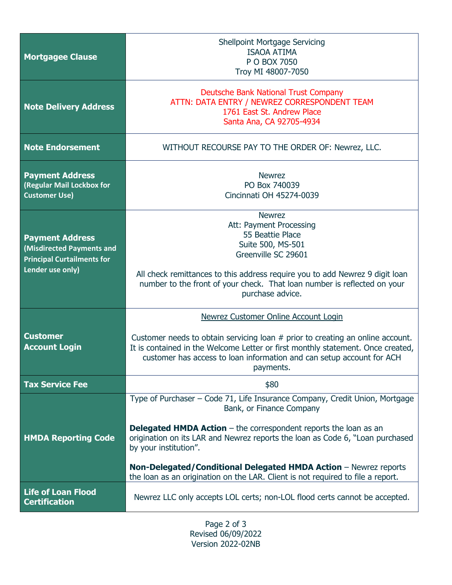| <b>Mortgagee Clause</b>                                                                                      | <b>Shellpoint Mortgage Servicing</b><br><b>ISAOA ATIMA</b><br>P O BOX 7050<br>Troy MI 48007-7050                                                                                                                                                                                                                                                                                                                                                      |
|--------------------------------------------------------------------------------------------------------------|-------------------------------------------------------------------------------------------------------------------------------------------------------------------------------------------------------------------------------------------------------------------------------------------------------------------------------------------------------------------------------------------------------------------------------------------------------|
| <b>Note Delivery Address</b>                                                                                 | <b>Deutsche Bank National Trust Company</b><br>ATTN: DATA ENTRY / NEWREZ CORRESPONDENT TEAM<br>1761 East St. Andrew Place<br>Santa Ana, CA 92705-4934                                                                                                                                                                                                                                                                                                 |
| <b>Note Endorsement</b>                                                                                      | WITHOUT RECOURSE PAY TO THE ORDER OF: Newrez, LLC.                                                                                                                                                                                                                                                                                                                                                                                                    |
| <b>Payment Address</b><br>(Regular Mail Lockbox for<br><b>Customer Use)</b>                                  | <b>Newrez</b><br>PO Box 740039<br>Cincinnati OH 45274-0039                                                                                                                                                                                                                                                                                                                                                                                            |
| <b>Payment Address</b><br>(Misdirected Payments and<br><b>Principal Curtailments for</b><br>Lender use only) | <b>Newrez</b><br>Att: Payment Processing<br>55 Beattie Place<br>Suite 500, MS-501<br>Greenville SC 29601<br>All check remittances to this address require you to add Newrez 9 digit loan<br>number to the front of your check. That loan number is reflected on your<br>purchase advice.                                                                                                                                                              |
| <b>Customer</b><br><b>Account Login</b>                                                                      | Newrez Customer Online Account Login<br>Customer needs to obtain servicing loan # prior to creating an online account.<br>It is contained in the Welcome Letter or first monthly statement. Once created,<br>customer has access to loan information and can setup account for ACH<br>payments.                                                                                                                                                       |
| <b>Tax Service Fee</b>                                                                                       | \$80                                                                                                                                                                                                                                                                                                                                                                                                                                                  |
| <b>HMDA Reporting Code</b>                                                                                   | Type of Purchaser – Code 71, Life Insurance Company, Credit Union, Mortgage<br>Bank, or Finance Company<br><b>Delegated HMDA Action</b> $-$ the correspondent reports the loan as an<br>origination on its LAR and Newrez reports the loan as Code 6, "Loan purchased<br>by your institution".<br>Non-Delegated/Conditional Delegated HMDA Action - Newrez reports<br>the loan as an origination on the LAR. Client is not required to file a report. |
| <b>Life of Loan Flood</b><br><b>Certification</b>                                                            | Newrez LLC only accepts LOL certs; non-LOL flood certs cannot be accepted.                                                                                                                                                                                                                                                                                                                                                                            |

Page 2 of 3 Revised 06/09/2022 Version 2022-02NB